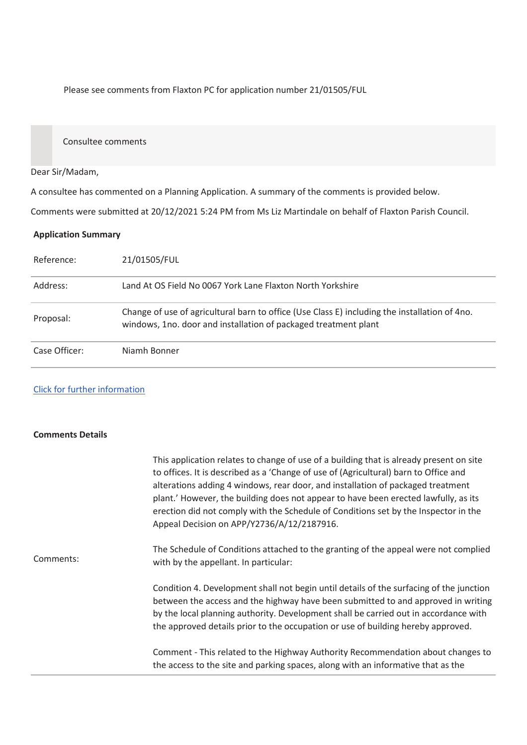Please see comments from Flaxton PC for application number 21/01505/FUL

Consultee comments

## Dear Sir/Madam,

A consultee has commented on a Planning Application. A summary of the comments is provided below.

Comments were submitted at 20/12/2021 5:24 PM from Ms Liz Martindale on behalf of Flaxton Parish Council.

## **Application Summary**

| Reference:    | 21/01505/FUL                                                                                                                                                     |
|---------------|------------------------------------------------------------------------------------------------------------------------------------------------------------------|
| Address:      | Land At OS Field No 0067 York Lane Flaxton North Yorkshire                                                                                                       |
| Proposal:     | Change of use of agricultural barn to office (Use Class E) including the installation of 4no.<br>windows, 1no. door and installation of packaged treatment plant |
| Case Officer: | Niamh Bonner                                                                                                                                                     |

## Click for further information

## **Comments Details**

|           | This application relates to change of use of a building that is already present on site<br>to offices. It is described as a 'Change of use of (Agricultural) barn to Office and<br>alterations adding 4 windows, rear door, and installation of packaged treatment<br>plant.' However, the building does not appear to have been erected lawfully, as its<br>erection did not comply with the Schedule of Conditions set by the Inspector in the<br>Appeal Decision on APP/Y2736/A/12/2187916. |
|-----------|------------------------------------------------------------------------------------------------------------------------------------------------------------------------------------------------------------------------------------------------------------------------------------------------------------------------------------------------------------------------------------------------------------------------------------------------------------------------------------------------|
| Comments: | The Schedule of Conditions attached to the granting of the appeal were not complied<br>with by the appellant. In particular:                                                                                                                                                                                                                                                                                                                                                                   |
|           | Condition 4. Development shall not begin until details of the surfacing of the junction<br>between the access and the highway have been submitted to and approved in writing<br>by the local planning authority. Development shall be carried out in accordance with<br>the approved details prior to the occupation or use of building hereby approved.                                                                                                                                       |
|           | Comment - This related to the Highway Authority Recommendation about changes to<br>the access to the site and parking spaces, along with an informative that as the                                                                                                                                                                                                                                                                                                                            |